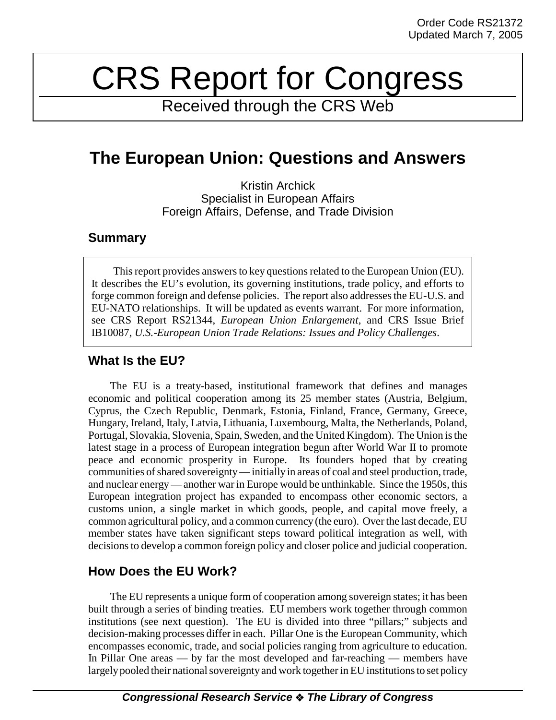# CRS Report for Congress

Received through the CRS Web

# **The European Union: Questions and Answers**

Kristin Archick Specialist in European Affairs Foreign Affairs, Defense, and Trade Division

### **Summary**

This report provides answers to key questions related to the European Union (EU). It describes the EU's evolution, its governing institutions, trade policy, and efforts to forge common foreign and defense policies. The report also addresses the EU-U.S. and EU-NATO relationships. It will be updated as events warrant. For more information, see CRS Report RS21344, *European Union Enlargement*, and CRS Issue Brief IB10087, *U.S.-European Union Trade Relations: Issues and Policy Challenges*.

# **What Is the EU?**

The EU is a treaty-based, institutional framework that defines and manages economic and political cooperation among its 25 member states (Austria, Belgium, Cyprus, the Czech Republic, Denmark, Estonia, Finland, France, Germany, Greece, Hungary, Ireland, Italy, Latvia, Lithuania, Luxembourg, Malta, the Netherlands, Poland, Portugal, Slovakia, Slovenia, Spain, Sweden, and the United Kingdom). The Union is the latest stage in a process of European integration begun after World War II to promote peace and economic prosperity in Europe. Its founders hoped that by creating communities of shared sovereignty — initially in areas of coal and steel production, trade, and nuclear energy — another war in Europe would be unthinkable. Since the 1950s, this European integration project has expanded to encompass other economic sectors, a customs union, a single market in which goods, people, and capital move freely, a common agricultural policy, and a common currency (the euro). Over the last decade, EU member states have taken significant steps toward political integration as well, with decisions to develop a common foreign policy and closer police and judicial cooperation.

# **How Does the EU Work?**

The EU represents a unique form of cooperation among sovereign states; it has been built through a series of binding treaties. EU members work together through common institutions (see next question). The EU is divided into three "pillars;" subjects and decision-making processes differ in each. Pillar One is the European Community, which encompasses economic, trade, and social policies ranging from agriculture to education. In Pillar One areas — by far the most developed and far-reaching — members have largely pooled their national sovereignty and work together in EU institutions to set policy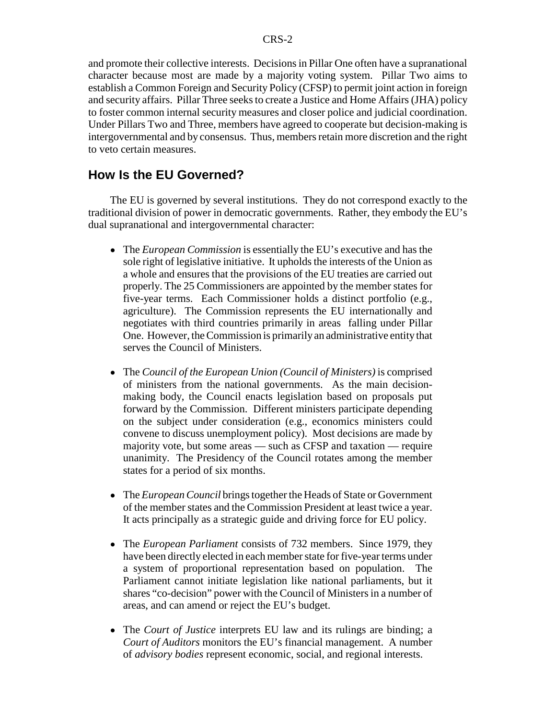and promote their collective interests. Decisions in Pillar One often have a supranational character because most are made by a majority voting system. Pillar Two aims to establish a Common Foreign and Security Policy (CFSP) to permit joint action in foreign and security affairs. Pillar Three seeks to create a Justice and Home Affairs (JHA) policy to foster common internal security measures and closer police and judicial coordination. Under Pillars Two and Three, members have agreed to cooperate but decision-making is intergovernmental and by consensus. Thus, members retain more discretion and the right to veto certain measures.

#### **How Is the EU Governed?**

The EU is governed by several institutions. They do not correspond exactly to the traditional division of power in democratic governments. Rather, they embody the EU's dual supranational and intergovernmental character:

- ! The *European Commission* is essentially the EU's executive and has the sole right of legislative initiative. It upholds the interests of the Union as a whole and ensures that the provisions of the EU treaties are carried out properly. The 25 Commissioners are appointed by the member states for five-year terms. Each Commissioner holds a distinct portfolio (e.g., agriculture). The Commission represents the EU internationally and negotiates with third countries primarily in areas falling under Pillar One. However, the Commission is primarily an administrative entity that serves the Council of Ministers.
- ! The *Council of the European Union (Council of Ministers)* is comprised of ministers from the national governments. As the main decisionmaking body, the Council enacts legislation based on proposals put forward by the Commission. Different ministers participate depending on the subject under consideration (e.g., economics ministers could convene to discuss unemployment policy). Most decisions are made by majority vote, but some areas — such as CFSP and taxation — require unanimity. The Presidency of the Council rotates among the member states for a period of six months.
- ! The *European Council* brings together the Heads of State or Government of the member states and the Commission President at least twice a year. It acts principally as a strategic guide and driving force for EU policy.
- ! The *European Parliament* consists of 732 members. Since 1979, they have been directly elected in each member state for five-year terms under a system of proportional representation based on population. The Parliament cannot initiate legislation like national parliaments, but it shares "co-decision" power with the Council of Ministers in a number of areas, and can amend or reject the EU's budget.
- ! The *Court of Justice* interprets EU law and its rulings are binding; a *Court of Auditors* monitors the EU's financial management. A number of *advisory bodies* represent economic, social, and regional interests.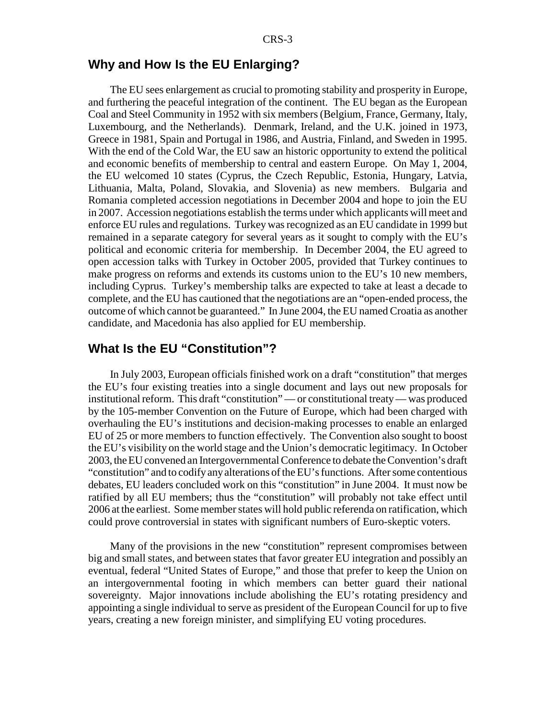#### **Why and How Is the EU Enlarging?**

The EU sees enlargement as crucial to promoting stability and prosperity in Europe, and furthering the peaceful integration of the continent. The EU began as the European Coal and Steel Community in 1952 with six members (Belgium, France, Germany, Italy, Luxembourg, and the Netherlands). Denmark, Ireland, and the U.K. joined in 1973, Greece in 1981, Spain and Portugal in 1986, and Austria, Finland, and Sweden in 1995. With the end of the Cold War, the EU saw an historic opportunity to extend the political and economic benefits of membership to central and eastern Europe. On May 1, 2004, the EU welcomed 10 states (Cyprus, the Czech Republic, Estonia, Hungary, Latvia, Lithuania, Malta, Poland, Slovakia, and Slovenia) as new members. Bulgaria and Romania completed accession negotiations in December 2004 and hope to join the EU in 2007. Accession negotiations establish the terms under which applicants will meet and enforce EU rules and regulations. Turkey was recognized as an EU candidate in 1999 but remained in a separate category for several years as it sought to comply with the EU's political and economic criteria for membership. In December 2004, the EU agreed to open accession talks with Turkey in October 2005, provided that Turkey continues to make progress on reforms and extends its customs union to the EU's 10 new members, including Cyprus. Turkey's membership talks are expected to take at least a decade to complete, and the EU has cautioned that the negotiations are an "open-ended process, the outcome of which cannot be guaranteed." In June 2004, the EU named Croatia as another candidate, and Macedonia has also applied for EU membership.

#### **What Is the EU "Constitution"?**

In July 2003, European officials finished work on a draft "constitution" that merges the EU's four existing treaties into a single document and lays out new proposals for institutional reform. This draft "constitution" — or constitutional treaty — was produced by the 105-member Convention on the Future of Europe, which had been charged with overhauling the EU's institutions and decision-making processes to enable an enlarged EU of 25 or more members to function effectively. The Convention also sought to boost the EU's visibility on the world stage and the Union's democratic legitimacy. In October 2003, the EU convened an Intergovernmental Conference to debate the Convention's draft "constitution" and to codify any alterations of the EU's functions. After some contentious debates, EU leaders concluded work on this "constitution" in June 2004. It must now be ratified by all EU members; thus the "constitution" will probably not take effect until 2006 at the earliest. Some member states will hold public referenda on ratification, which could prove controversial in states with significant numbers of Euro-skeptic voters.

Many of the provisions in the new "constitution" represent compromises between big and small states, and between states that favor greater EU integration and possibly an eventual, federal "United States of Europe," and those that prefer to keep the Union on an intergovernmental footing in which members can better guard their national sovereignty. Major innovations include abolishing the EU's rotating presidency and appointing a single individual to serve as president of the European Council for up to five years, creating a new foreign minister, and simplifying EU voting procedures.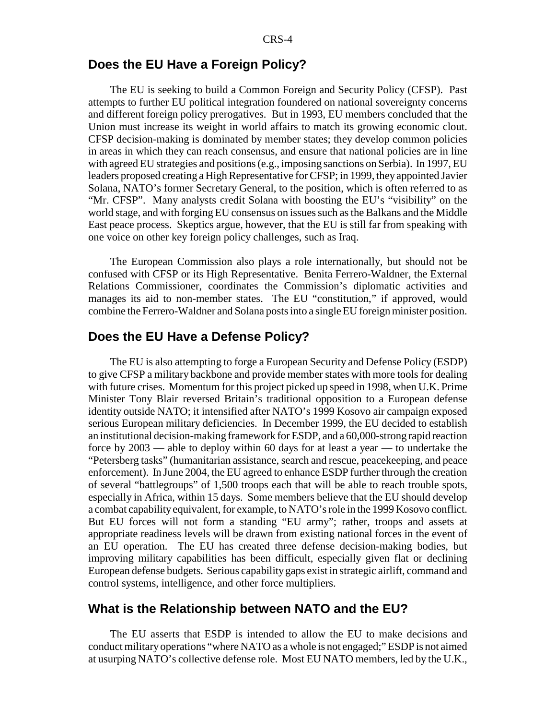#### **Does the EU Have a Foreign Policy?**

The EU is seeking to build a Common Foreign and Security Policy (CFSP). Past attempts to further EU political integration foundered on national sovereignty concerns and different foreign policy prerogatives. But in 1993, EU members concluded that the Union must increase its weight in world affairs to match its growing economic clout. CFSP decision-making is dominated by member states; they develop common policies in areas in which they can reach consensus, and ensure that national policies are in line with agreed EU strategies and positions (e.g., imposing sanctions on Serbia). In 1997, EU leaders proposed creating a High Representative for CFSP; in 1999, they appointed Javier Solana, NATO's former Secretary General, to the position, which is often referred to as "Mr. CFSP". Many analysts credit Solana with boosting the EU's "visibility" on the world stage, and with forging EU consensus on issues such as the Balkans and the Middle East peace process. Skeptics argue, however, that the EU is still far from speaking with one voice on other key foreign policy challenges, such as Iraq.

The European Commission also plays a role internationally, but should not be confused with CFSP or its High Representative. Benita Ferrero-Waldner, the External Relations Commissioner, coordinates the Commission's diplomatic activities and manages its aid to non-member states. The EU "constitution," if approved, would combine the Ferrero-Waldner and Solana posts into a single EU foreign minister position.

#### **Does the EU Have a Defense Policy?**

The EU is also attempting to forge a European Security and Defense Policy (ESDP) to give CFSP a military backbone and provide member states with more tools for dealing with future crises. Momentum for this project picked up speed in 1998, when U.K. Prime Minister Tony Blair reversed Britain's traditional opposition to a European defense identity outside NATO; it intensified after NATO's 1999 Kosovo air campaign exposed serious European military deficiencies. In December 1999, the EU decided to establish an institutional decision-making framework for ESDP, and a 60,000-strong rapid reaction force by 2003 — able to deploy within 60 days for at least a year — to undertake the "Petersberg tasks" (humanitarian assistance, search and rescue, peacekeeping, and peace enforcement). In June 2004, the EU agreed to enhance ESDP further through the creation of several "battlegroups" of 1,500 troops each that will be able to reach trouble spots, especially in Africa, within 15 days. Some members believe that the EU should develop a combat capability equivalent, for example, to NATO's role in the 1999 Kosovo conflict. But EU forces will not form a standing "EU army"; rather, troops and assets at appropriate readiness levels will be drawn from existing national forces in the event of an EU operation. The EU has created three defense decision-making bodies, but improving military capabilities has been difficult, especially given flat or declining European defense budgets. Serious capability gaps exist in strategic airlift, command and control systems, intelligence, and other force multipliers.

#### **What is the Relationship between NATO and the EU?**

The EU asserts that ESDP is intended to allow the EU to make decisions and conduct military operations "where NATO as a whole is not engaged;" ESDP is not aimed at usurping NATO's collective defense role. Most EU NATO members, led by the U.K.,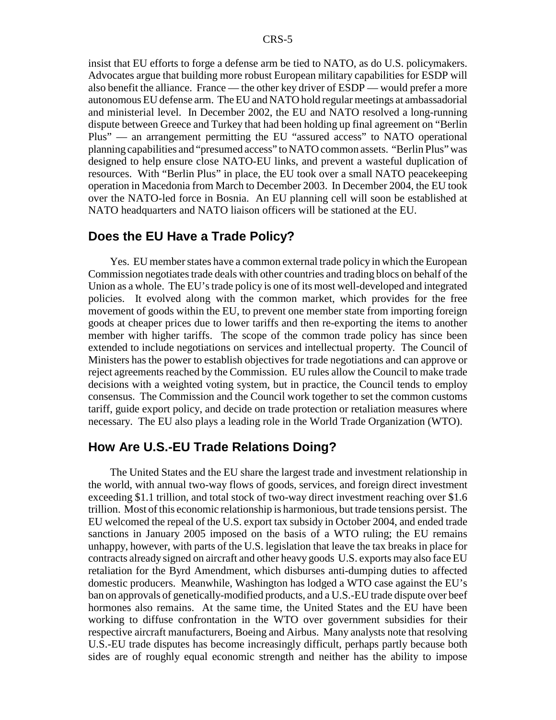insist that EU efforts to forge a defense arm be tied to NATO, as do U.S. policymakers. Advocates argue that building more robust European military capabilities for ESDP will also benefit the alliance. France — the other key driver of ESDP — would prefer a more autonomous EU defense arm. The EU and NATO hold regular meetings at ambassadorial and ministerial level. In December 2002, the EU and NATO resolved a long-running dispute between Greece and Turkey that had been holding up final agreement on "Berlin Plus" — an arrangement permitting the EU "assured access" to NATO operational planning capabilities and "presumed access" to NATO common assets. "Berlin Plus" was designed to help ensure close NATO-EU links, and prevent a wasteful duplication of resources. With "Berlin Plus" in place, the EU took over a small NATO peacekeeping operation in Macedonia from March to December 2003. In December 2004, the EU took over the NATO-led force in Bosnia. An EU planning cell will soon be established at NATO headquarters and NATO liaison officers will be stationed at the EU.

## **Does the EU Have a Trade Policy?**

Yes. EU member states have a common external trade policy in which the European Commission negotiates trade deals with other countries and trading blocs on behalf of the Union as a whole. The EU's trade policy is one of its most well-developed and integrated policies. It evolved along with the common market, which provides for the free movement of goods within the EU, to prevent one member state from importing foreign goods at cheaper prices due to lower tariffs and then re-exporting the items to another member with higher tariffs. The scope of the common trade policy has since been extended to include negotiations on services and intellectual property. The Council of Ministers has the power to establish objectives for trade negotiations and can approve or reject agreements reached by the Commission. EU rules allow the Council to make trade decisions with a weighted voting system, but in practice, the Council tends to employ consensus. The Commission and the Council work together to set the common customs tariff, guide export policy, and decide on trade protection or retaliation measures where necessary. The EU also plays a leading role in the World Trade Organization (WTO).

#### **How Are U.S.-EU Trade Relations Doing?**

The United States and the EU share the largest trade and investment relationship in the world, with annual two-way flows of goods, services, and foreign direct investment exceeding \$1.1 trillion, and total stock of two-way direct investment reaching over \$1.6 trillion. Most of this economic relationship is harmonious, but trade tensions persist. The EU welcomed the repeal of the U.S. export tax subsidy in October 2004, and ended trade sanctions in January 2005 imposed on the basis of a WTO ruling; the EU remains unhappy, however, with parts of the U.S. legislation that leave the tax breaks in place for contracts already signed on aircraft and other heavy goods U.S. exports may also face EU retaliation for the Byrd Amendment, which disburses anti-dumping duties to affected domestic producers. Meanwhile, Washington has lodged a WTO case against the EU's ban on approvals of genetically-modified products, and a U.S.-EU trade dispute over beef hormones also remains. At the same time, the United States and the EU have been working to diffuse confrontation in the WTO over government subsidies for their respective aircraft manufacturers, Boeing and Airbus. Many analysts note that resolving U.S.-EU trade disputes has become increasingly difficult, perhaps partly because both sides are of roughly equal economic strength and neither has the ability to impose